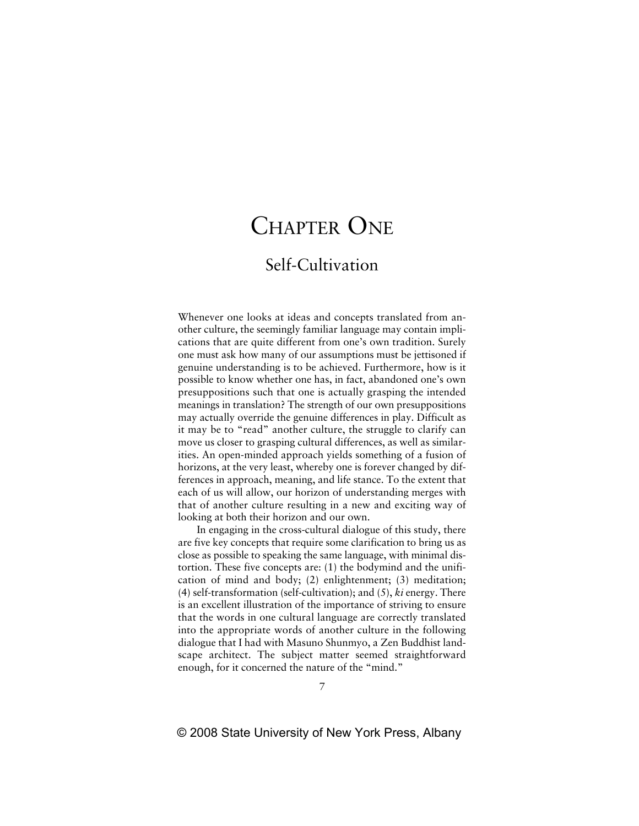# CHAPTER ONE

# Self-Cultivation

Whenever one looks at ideas and concepts translated from another culture, the seemingly familiar language may contain implications that are quite different from one's own tradition. Surely one must ask how many of our assumptions must be jettisoned if genuine understanding is to be achieved. Furthermore, how is it possible to know whether one has, in fact, abandoned one's own presuppositions such that one is actually grasping the intended meanings in translation? The strength of our own presuppositions may actually override the genuine differences in play. Difficult as it may be to "read" another culture, the struggle to clarify can move us closer to grasping cultural differences, as well as similarities. An open-minded approach yields something of a fusion of horizons, at the very least, whereby one is forever changed by differences in approach, meaning, and life stance. To the extent that each of us will allow, our horizon of understanding merges with that of another culture resulting in a new and exciting way of looking at both their horizon and our own.

In engaging in the cross-cultural dialogue of this study, there are five key concepts that require some clarification to bring us as close as possible to speaking the same language, with minimal distortion. These five concepts are: (1) the bodymind and the unification of mind and body; (2) enlightenment; (3) meditation; (4) self-transformation (self-cultivation); and (5), *ki* energy. There is an excellent illustration of the importance of striving to ensure that the words in one cultural language are correctly translated into the appropriate words of another culture in the following dialogue that I had with Masuno Shunmyo, a Zen Buddhist landscape architect. The subject matter seemed straightforward enough, for it concerned the nature of the "mind."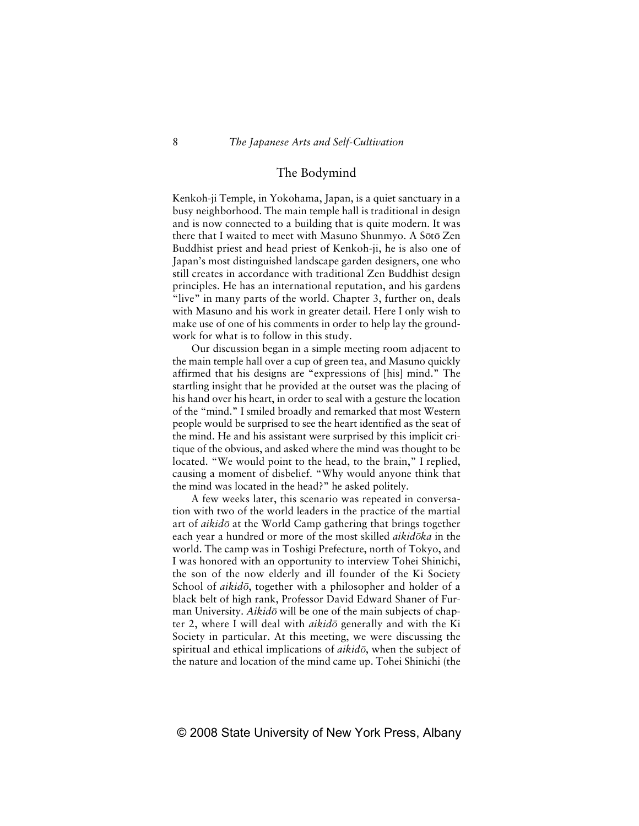#### The Bodymind

Kenkoh-ji Temple, in Yokohama, Japan, is a quiet sanctuary in a busy neighborhood. The main temple hall is traditional in design and is now connected to a building that is quite modern. It was there that I waited to meet with Masuno Shunmyo. A Sōtō Zen Buddhist priest and head priest of Kenkoh-ji, he is also one of Japan's most distinguished landscape garden designers, one who still creates in accordance with traditional Zen Buddhist design principles. He has an international reputation, and his gardens "live" in many parts of the world. Chapter 3, further on, deals with Masuno and his work in greater detail. Here I only wish to make use of one of his comments in order to help lay the groundwork for what is to follow in this study.

Our discussion began in a simple meeting room adjacent to the main temple hall over a cup of green tea, and Masuno quickly affirmed that his designs are "expressions of [his] mind." The startling insight that he provided at the outset was the placing of his hand over his heart, in order to seal with a gesture the location of the "mind." I smiled broadly and remarked that most Western people would be surprised to see the heart identified as the seat of the mind. He and his assistant were surprised by this implicit critique of the obvious, and asked where the mind was thought to be located. "We would point to the head, to the brain," I replied, causing a moment of disbelief. "Why would anyone think that the mind was located in the head?" he asked politely.

A few weeks later, this scenario was repeated in conversation with two of the world leaders in the practice of the martial art of *aikido–* at the World Camp gathering that brings together each year a hundred or more of the most skilled *aikidōka* in the world. The camp was in Toshigi Prefecture, north of Tokyo, and I was honored with an opportunity to interview Tohei Shinichi, the son of the now elderly and ill founder of the Ki Society School of *aikido*, together with a philosopher and holder of a black belt of high rank, Professor David Edward Shaner of Furman University. *Aikido* will be one of the main subjects of chapter 2, where I will deal with *aikido–* generally and with the Ki Society in particular. At this meeting, we were discussing the spiritual and ethical implications of *aikido*, when the subject of the nature and location of the mind came up. Tohei Shinichi (the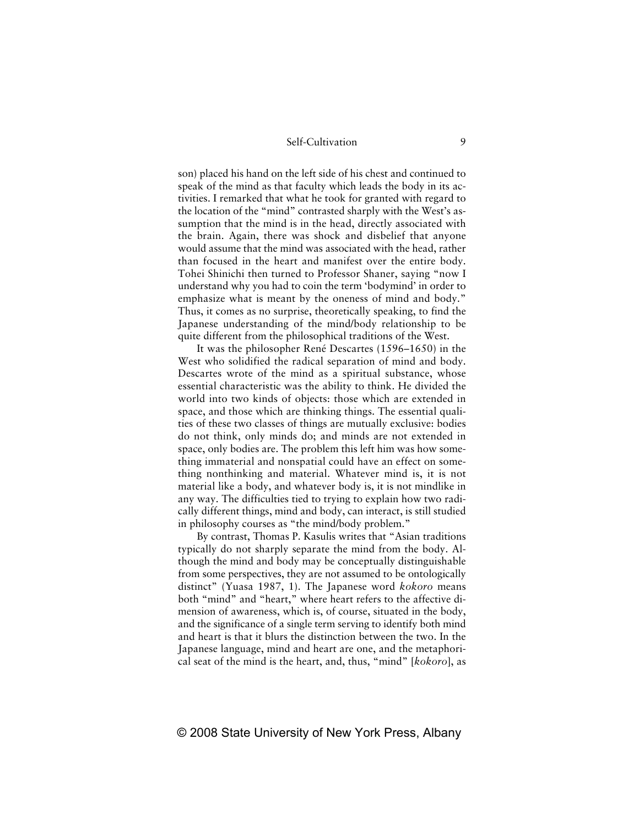son) placed his hand on the left side of his chest and continued to speak of the mind as that faculty which leads the body in its activities. I remarked that what he took for granted with regard to the location of the "mind" contrasted sharply with the West's assumption that the mind is in the head, directly associated with the brain. Again, there was shock and disbelief that anyone would assume that the mind was associated with the head, rather than focused in the heart and manifest over the entire body. Tohei Shinichi then turned to Professor Shaner, saying "now I understand why you had to coin the term 'bodymind' in order to emphasize what is meant by the oneness of mind and body." Thus, it comes as no surprise, theoretically speaking, to find the Japanese understanding of the mind/body relationship to be quite different from the philosophical traditions of the West.

It was the philosopher René Descartes (1596–1650) in the West who solidified the radical separation of mind and body. Descartes wrote of the mind as a spiritual substance, whose essential characteristic was the ability to think. He divided the world into two kinds of objects: those which are extended in space, and those which are thinking things. The essential qualities of these two classes of things are mutually exclusive: bodies do not think, only minds do; and minds are not extended in space, only bodies are. The problem this left him was how something immaterial and nonspatial could have an effect on something nonthinking and material. Whatever mind is, it is not material like a body, and whatever body is, it is not mindlike in any way. The difficulties tied to trying to explain how two radically different things, mind and body, can interact, is still studied in philosophy courses as "the mind/body problem."

By contrast, Thomas P. Kasulis writes that "Asian traditions typically do not sharply separate the mind from the body. Although the mind and body may be conceptually distinguishable from some perspectives, they are not assumed to be ontologically distinct" (Yuasa 1987, 1). The Japanese word *kokoro* means both "mind" and "heart," where heart refers to the affective dimension of awareness, which is, of course, situated in the body, and the significance of a single term serving to identify both mind and heart is that it blurs the distinction between the two. In the Japanese language, mind and heart are one, and the metaphorical seat of the mind is the heart, and, thus, "mind" [*kokoro*], as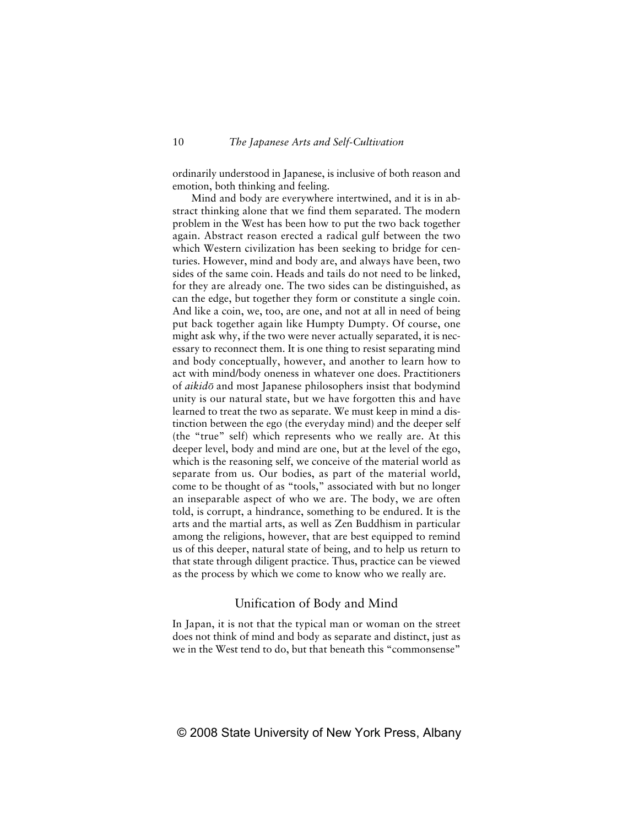ordinarily understood in Japanese, is inclusive of both reason and emotion, both thinking and feeling.

Mind and body are everywhere intertwined, and it is in abstract thinking alone that we find them separated. The modern problem in the West has been how to put the two back together again. Abstract reason erected a radical gulf between the two which Western civilization has been seeking to bridge for centuries. However, mind and body are, and always have been, two sides of the same coin. Heads and tails do not need to be linked, for they are already one. The two sides can be distinguished, as can the edge, but together they form or constitute a single coin. And like a coin, we, too, are one, and not at all in need of being put back together again like Humpty Dumpty. Of course, one might ask why, if the two were never actually separated, it is necessary to reconnect them. It is one thing to resist separating mind and body conceptually, however, and another to learn how to act with mind/body oneness in whatever one does. Practitioners of *aikido–* and most Japanese philosophers insist that bodymind unity is our natural state, but we have forgotten this and have learned to treat the two as separate. We must keep in mind a distinction between the ego (the everyday mind) and the deeper self (the "true" self) which represents who we really are. At this deeper level, body and mind are one, but at the level of the ego, which is the reasoning self, we conceive of the material world as separate from us. Our bodies, as part of the material world, come to be thought of as "tools," associated with but no longer an inseparable aspect of who we are. The body, we are often told, is corrupt, a hindrance, something to be endured. It is the arts and the martial arts, as well as Zen Buddhism in particular among the religions, however, that are best equipped to remind us of this deeper, natural state of being, and to help us return to that state through diligent practice. Thus, practice can be viewed as the process by which we come to know who we really are.

# Unification of Body and Mind

In Japan, it is not that the typical man or woman on the street does not think of mind and body as separate and distinct, just as we in the West tend to do, but that beneath this "commonsense"

© 2008 State University of New York Press, Albany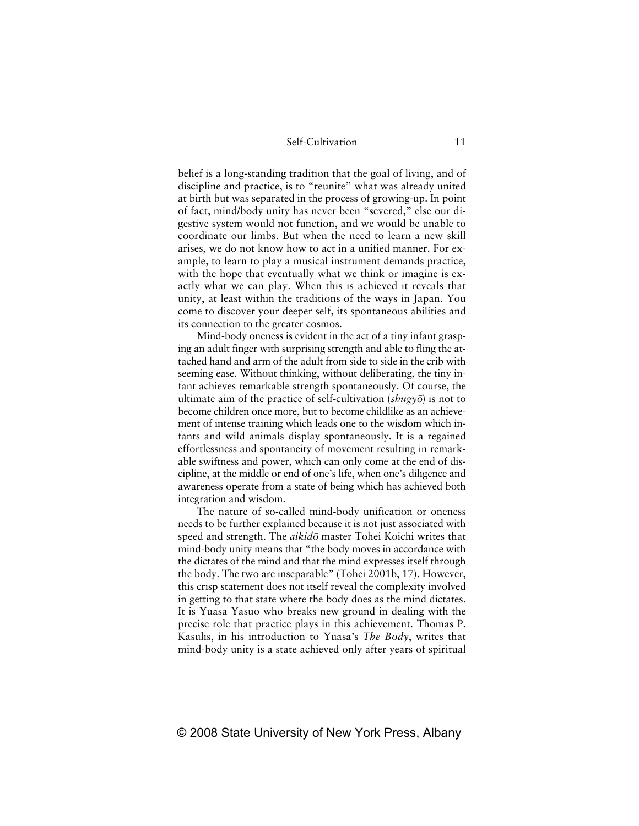belief is a long-standing tradition that the goal of living, and of discipline and practice, is to "reunite" what was already united at birth but was separated in the process of growing-up. In point of fact, mind/body unity has never been "severed," else our digestive system would not function, and we would be unable to coordinate our limbs. But when the need to learn a new skill arises, we do not know how to act in a unified manner. For example, to learn to play a musical instrument demands practice, with the hope that eventually what we think or imagine is exactly what we can play. When this is achieved it reveals that unity, at least within the traditions of the ways in Japan. You come to discover your deeper self, its spontaneous abilities and its connection to the greater cosmos.

Mind-body oneness is evident in the act of a tiny infant grasping an adult finger with surprising strength and able to fling the attached hand and arm of the adult from side to side in the crib with seeming ease. Without thinking, without deliberating, the tiny infant achieves remarkable strength spontaneously. Of course, the ultimate aim of the practice of self-cultivation (shugyō) is not to become children once more, but to become childlike as an achievement of intense training which leads one to the wisdom which infants and wild animals display spontaneously. It is a regained effortlessness and spontaneity of movement resulting in remarkable swiftness and power, which can only come at the end of discipline, at the middle or end of one's life, when one's diligence and awareness operate from a state of being which has achieved both integration and wisdom.

The nature of so-called mind-body unification or oneness needs to be further explained because it is not just associated with speed and strength. The *aikido* master Tohei Koichi writes that mind-body unity means that "the body moves in accordance with the dictates of the mind and that the mind expresses itself through the body. The two are inseparable" (Tohei 2001b, 17). However, this crisp statement does not itself reveal the complexity involved in getting to that state where the body does as the mind dictates. It is Yuasa Yasuo who breaks new ground in dealing with the precise role that practice plays in this achievement. Thomas P. Kasulis, in his introduction to Yuasa's *The Body*, writes that mind-body unity is a state achieved only after years of spiritual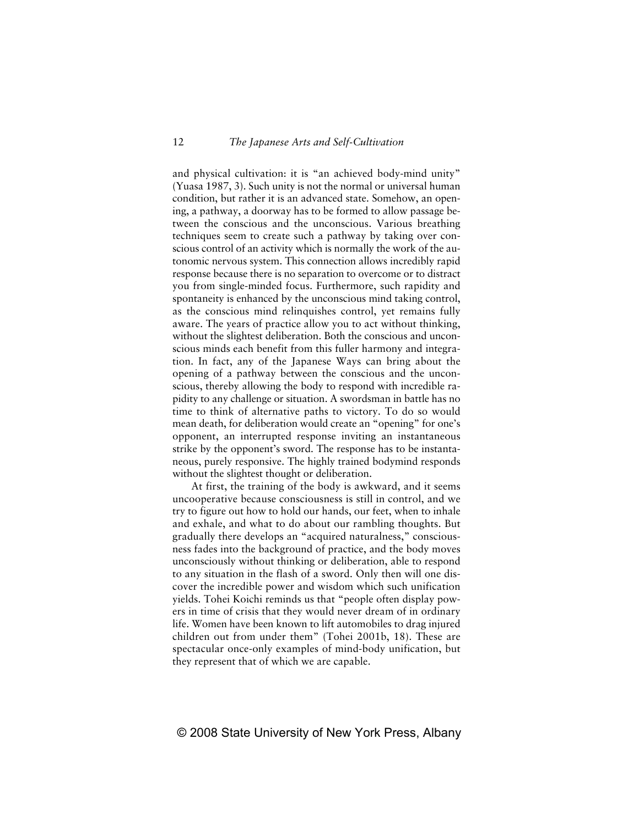and physical cultivation: it is "an achieved body-mind unity" (Yuasa 1987, 3). Such unity is not the normal or universal human condition, but rather it is an advanced state. Somehow, an opening, a pathway, a doorway has to be formed to allow passage between the conscious and the unconscious. Various breathing techniques seem to create such a pathway by taking over conscious control of an activity which is normally the work of the autonomic nervous system. This connection allows incredibly rapid response because there is no separation to overcome or to distract you from single-minded focus. Furthermore, such rapidity and spontaneity is enhanced by the unconscious mind taking control, as the conscious mind relinquishes control, yet remains fully aware. The years of practice allow you to act without thinking, without the slightest deliberation. Both the conscious and unconscious minds each benefit from this fuller harmony and integration. In fact, any of the Japanese Ways can bring about the opening of a pathway between the conscious and the unconscious, thereby allowing the body to respond with incredible rapidity to any challenge or situation. A swordsman in battle has no time to think of alternative paths to victory. To do so would mean death, for deliberation would create an "opening" for one's opponent, an interrupted response inviting an instantaneous strike by the opponent's sword. The response has to be instantaneous, purely responsive. The highly trained bodymind responds without the slightest thought or deliberation.

At first, the training of the body is awkward, and it seems uncooperative because consciousness is still in control, and we try to figure out how to hold our hands, our feet, when to inhale and exhale, and what to do about our rambling thoughts. But gradually there develops an "acquired naturalness," consciousness fades into the background of practice, and the body moves unconsciously without thinking or deliberation, able to respond to any situation in the flash of a sword. Only then will one discover the incredible power and wisdom which such unification yields. Tohei Koichi reminds us that "people often display powers in time of crisis that they would never dream of in ordinary life. Women have been known to lift automobiles to drag injured children out from under them" (Tohei 2001b, 18). These are spectacular once-only examples of mind-body unification, but they represent that of which we are capable.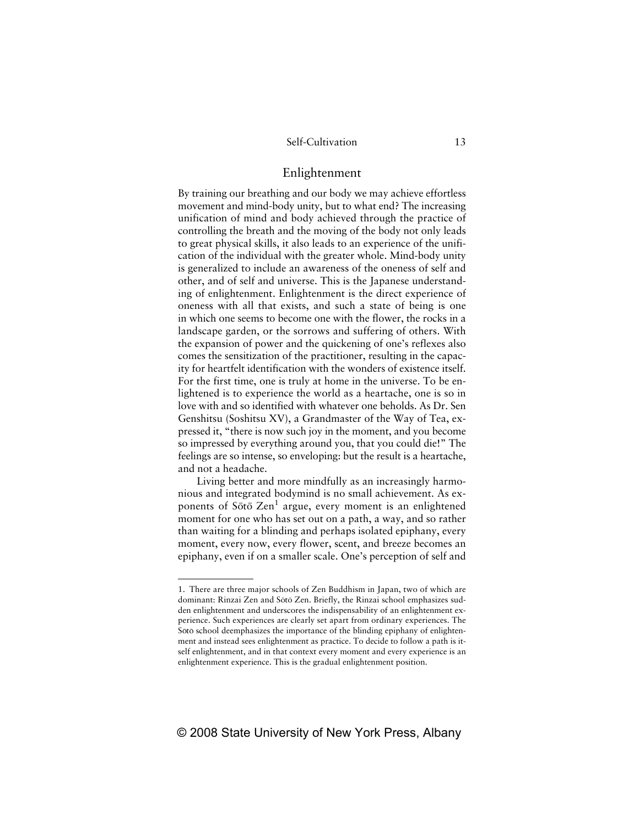#### Enlightenment

By training our breathing and our body we may achieve effortless movement and mind-body unity, but to what end? The increasing unification of mind and body achieved through the practice of controlling the breath and the moving of the body not only leads to great physical skills, it also leads to an experience of the unification of the individual with the greater whole. Mind-body unity is generalized to include an awareness of the oneness of self and other, and of self and universe. This is the Japanese understanding of enlightenment. Enlightenment is the direct experience of oneness with all that exists, and such a state of being is one in which one seems to become one with the flower, the rocks in a landscape garden, or the sorrows and suffering of others. With the expansion of power and the quickening of one's reflexes also comes the sensitization of the practitioner, resulting in the capacity for heartfelt identification with the wonders of existence itself. For the first time, one is truly at home in the universe. To be enlightened is to experience the world as a heartache, one is so in love with and so identified with whatever one beholds. As Dr. Sen Genshitsu (Soshitsu XV), a Grandmaster of the Way of Tea, expressed it, "there is now such joy in the moment, and you become so impressed by everything around you, that you could die!" The feelings are so intense, so enveloping: but the result is a heartache, and not a headache.

Living better and more mindfully as an increasingly harmonious and integrated bodymind is no small achievement. As exponents of Sōtō Zen<sup>1</sup> argue, every moment is an enlightened moment for one who has set out on a path, a way, and so rather than waiting for a blinding and perhaps isolated epiphany, every moment, every now, every flower, scent, and breeze becomes an epiphany, even if on a smaller scale. One's perception of self and

<sup>1.</sup> There are three major schools of Zen Buddhism in Japan, two of which are dominant: Rinzai Zen and Sōtō Zen. Briefly, the Rinzai school emphasizes sudden enlightenment and underscores the indispensability of an enlightenment experience. Such experiences are clearly set apart from ordinary experiences. The Sōtō school deemphasizes the importance of the blinding epiphany of enlightenment and instead sees enlightenment as practice. To decide to follow a path is itself enlightenment, and in that context every moment and every experience is an enlightenment experience. This is the gradual enlightenment position.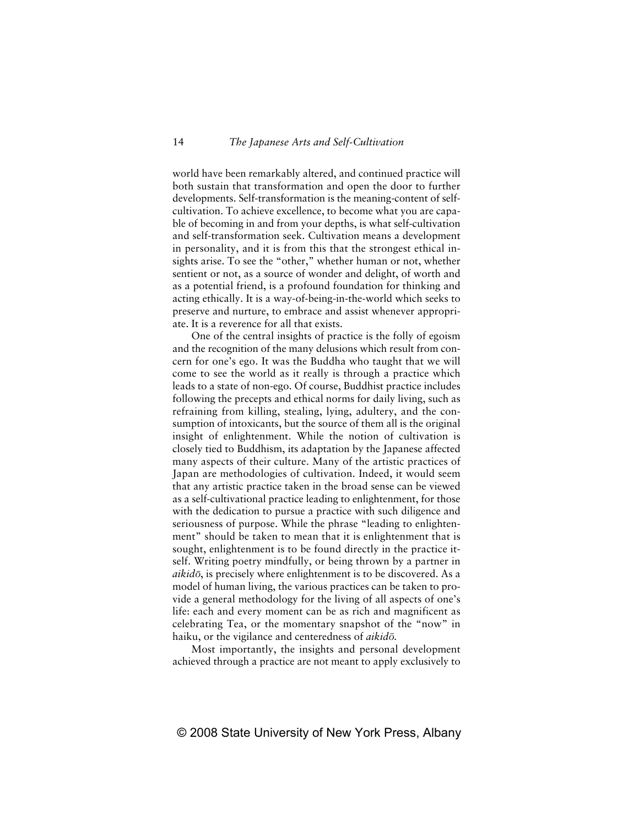world have been remarkably altered, and continued practice will both sustain that transformation and open the door to further developments. Self-transformation is the meaning-content of selfcultivation. To achieve excellence, to become what you are capable of becoming in and from your depths, is what self-cultivation and self-transformation seek. Cultivation means a development in personality, and it is from this that the strongest ethical insights arise. To see the "other," whether human or not, whether sentient or not, as a source of wonder and delight, of worth and as a potential friend, is a profound foundation for thinking and acting ethically. It is a way-of-being-in-the-world which seeks to preserve and nurture, to embrace and assist whenever appropriate. It is a reverence for all that exists.

One of the central insights of practice is the folly of egoism and the recognition of the many delusions which result from concern for one's ego. It was the Buddha who taught that we will come to see the world as it really is through a practice which leads to a state of non-ego. Of course, Buddhist practice includes following the precepts and ethical norms for daily living, such as refraining from killing, stealing, lying, adultery, and the consumption of intoxicants, but the source of them all is the original insight of enlightenment. While the notion of cultivation is closely tied to Buddhism, its adaptation by the Japanese affected many aspects of their culture. Many of the artistic practices of Japan are methodologies of cultivation. Indeed, it would seem that any artistic practice taken in the broad sense can be viewed as a self-cultivational practice leading to enlightenment, for those with the dedication to pursue a practice with such diligence and seriousness of purpose. While the phrase "leading to enlightenment" should be taken to mean that it is enlightenment that is sought, enlightenment is to be found directly in the practice itself. Writing poetry mindfully, or being thrown by a partner in *aikido–* , is precisely where enlightenment is to be discovered. As a model of human living, the various practices can be taken to provide a general methodology for the living of all aspects of one's life: each and every moment can be as rich and magnificent as celebrating Tea, or the momentary snapshot of the "now" in haiku, or the vigilance and centeredness of *aikido*.

Most importantly, the insights and personal development achieved through a practice are not meant to apply exclusively to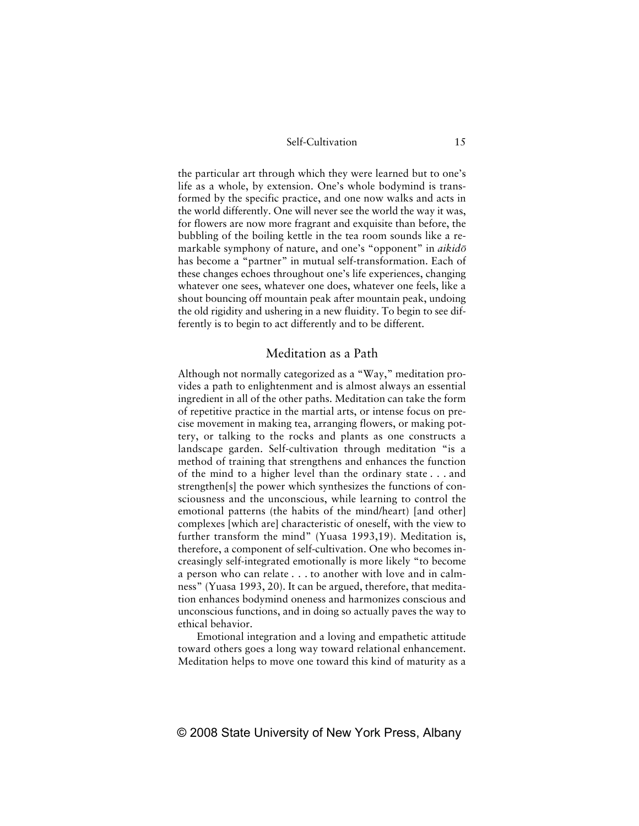the particular art through which they were learned but to one's life as a whole, by extension. One's whole bodymind is transformed by the specific practice, and one now walks and acts in the world differently. One will never see the world the way it was, for flowers are now more fragrant and exquisite than before, the bubbling of the boiling kettle in the tea room sounds like a remarkable symphony of nature, and one's "opponent" in *aikido–* has become a "partner" in mutual self-transformation. Each of these changes echoes throughout one's life experiences, changing whatever one sees, whatever one does, whatever one feels, like a shout bouncing off mountain peak after mountain peak, undoing the old rigidity and ushering in a new fluidity. To begin to see differently is to begin to act differently and to be different.

# Meditation as a Path

Although not normally categorized as a "Way," meditation provides a path to enlightenment and is almost always an essential ingredient in all of the other paths. Meditation can take the form of repetitive practice in the martial arts, or intense focus on precise movement in making tea, arranging flowers, or making pottery, or talking to the rocks and plants as one constructs a landscape garden. Self-cultivation through meditation "is a method of training that strengthens and enhances the function of the mind to a higher level than the ordinary state . . . and strengthen[s] the power which synthesizes the functions of consciousness and the unconscious, while learning to control the emotional patterns (the habits of the mind/heart) [and other] complexes [which are] characteristic of oneself, with the view to further transform the mind" (Yuasa 1993,19). Meditation is, therefore, a component of self-cultivation. One who becomes increasingly self-integrated emotionally is more likely "to become a person who can relate . . . to another with love and in calmness" (Yuasa 1993, 20). It can be argued, therefore, that meditation enhances bodymind oneness and harmonizes conscious and unconscious functions, and in doing so actually paves the way to ethical behavior.

Emotional integration and a loving and empathetic attitude toward others goes a long way toward relational enhancement. Meditation helps to move one toward this kind of maturity as a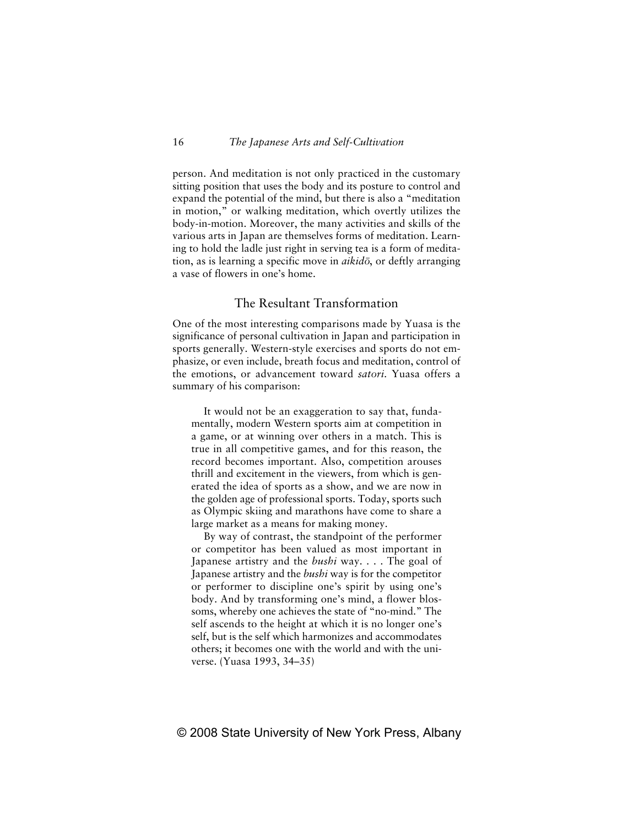person. And meditation is not only practiced in the customary sitting position that uses the body and its posture to control and expand the potential of the mind, but there is also a "meditation in motion," or walking meditation, which overtly utilizes the body-in-motion. Moreover, the many activities and skills of the various arts in Japan are themselves forms of meditation. Learning to hold the ladle just right in serving tea is a form of meditation, as is learning a specific move in *aikido*, or deftly arranging a vase of flowers in one's home.

# The Resultant Transformation

One of the most interesting comparisons made by Yuasa is the significance of personal cultivation in Japan and participation in sports generally. Western-style exercises and sports do not emphasize, or even include, breath focus and meditation, control of the emotions, or advancement toward *satori*. Yuasa offers a summary of his comparison:

It would not be an exaggeration to say that, fundamentally, modern Western sports aim at competition in a game, or at winning over others in a match. This is true in all competitive games, and for this reason, the record becomes important. Also, competition arouses thrill and excitement in the viewers, from which is generated the idea of sports as a show, and we are now in the golden age of professional sports. Today, sports such as Olympic skiing and marathons have come to share a large market as a means for making money.

By way of contrast, the standpoint of the performer or competitor has been valued as most important in Japanese artistry and the *bushi* way. . . . The goal of Japanese artistry and the *bushi* way is for the competitor or performer to discipline one's spirit by using one's body. And by transforming one's mind, a flower blossoms, whereby one achieves the state of "no-mind." The self ascends to the height at which it is no longer one's self, but is the self which harmonizes and accommodates others; it becomes one with the world and with the universe. (Yuasa 1993, 34–35)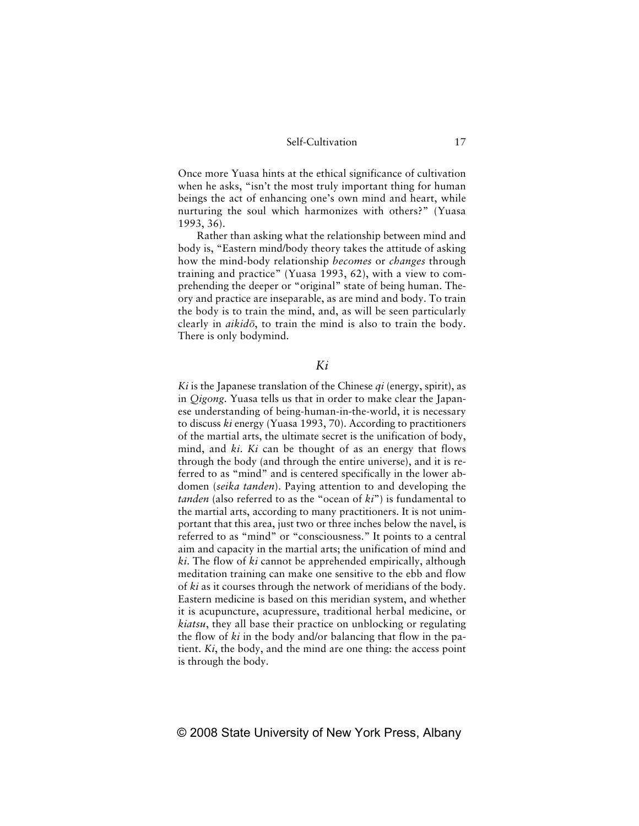Once more Yuasa hints at the ethical significance of cultivation when he asks, "isn't the most truly important thing for human beings the act of enhancing one's own mind and heart, while nurturing the soul which harmonizes with others?" (Yuasa 1993, 36).

Rather than asking what the relationship between mind and body is, "Eastern mind/body theory takes the attitude of asking how the mind-body relationship *becomes* or *changes* through training and practice" (Yuasa 1993, 62), with a view to comprehending the deeper or "original" state of being human. Theory and practice are inseparable, as are mind and body. To train the body is to train the mind, and, as will be seen particularly clearly in *aikido*, to train the mind is also to train the body. There is only bodymind.

### *Ki*

*Ki* is the Japanese translation of the Chinese *qi* (energy, spirit), as in *Qigong*. Yuasa tells us that in order to make clear the Japanese understanding of being-human-in-the-world, it is necessary to discuss *ki* energy (Yuasa 1993, 70). According to practitioners of the martial arts, the ultimate secret is the unification of body, mind, and *ki*. *Ki* can be thought of as an energy that flows through the body (and through the entire universe), and it is referred to as "mind" and is centered specifically in the lower abdomen (*seika tanden*). Paying attention to and developing the *tanden* (also referred to as the "ocean of *ki*") is fundamental to the martial arts, according to many practitioners. It is not unimportant that this area, just two or three inches below the navel, is referred to as "mind" or "consciousness." It points to a central aim and capacity in the martial arts; the unification of mind and *ki*. The flow of *ki* cannot be apprehended empirically, although meditation training can make one sensitive to the ebb and flow of *ki* as it courses through the network of meridians of the body. Eastern medicine is based on this meridian system, and whether it is acupuncture, acupressure, traditional herbal medicine, or *kiatsu*, they all base their practice on unblocking or regulating the flow of *ki* in the body and/or balancing that flow in the patient. *Ki*, the body, and the mind are one thing: the access point is through the body.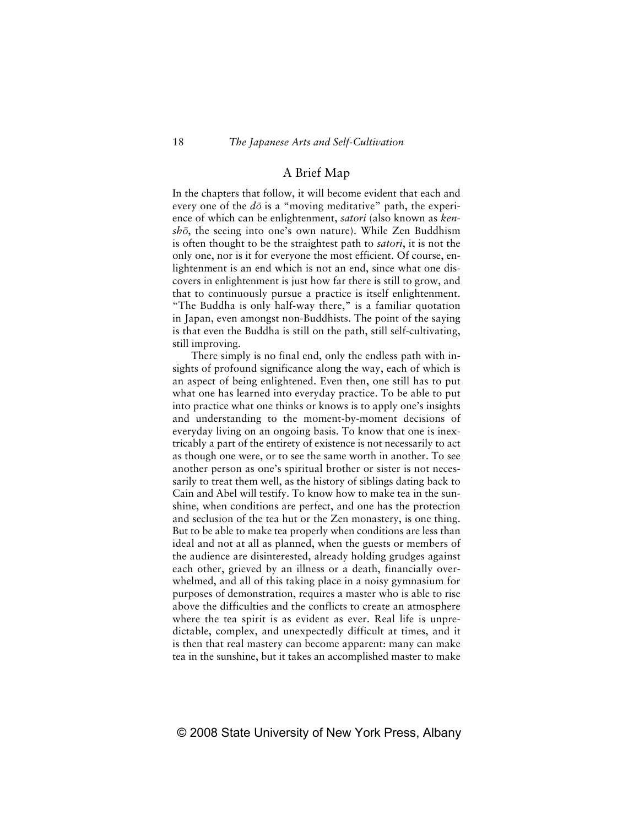# A Brief Map

In the chapters that follow, it will become evident that each and every one of the  $d\bar{o}$  is a "moving meditative" path, the experience of which can be enlightenment, *satori* (also known as *ken*shō, the seeing into one's own nature). While Zen Buddhism is often thought to be the straightest path to *satori*, it is not the only one, nor is it for everyone the most efficient. Of course, enlightenment is an end which is not an end, since what one discovers in enlightenment is just how far there is still to grow, and that to continuously pursue a practice is itself enlightenment. "The Buddha is only half-way there," is a familiar quotation in Japan, even amongst non-Buddhists. The point of the saying is that even the Buddha is still on the path, still self-cultivating, still improving.

There simply is no final end, only the endless path with insights of profound significance along the way, each of which is an aspect of being enlightened. Even then, one still has to put what one has learned into everyday practice. To be able to put into practice what one thinks or knows is to apply one's insights and understanding to the moment-by-moment decisions of everyday living on an ongoing basis. To know that one is inextricably a part of the entirety of existence is not necessarily to act as though one were, or to see the same worth in another. To see another person as one's spiritual brother or sister is not necessarily to treat them well, as the history of siblings dating back to Cain and Abel will testify. To know how to make tea in the sunshine, when conditions are perfect, and one has the protection and seclusion of the tea hut or the Zen monastery, is one thing. But to be able to make tea properly when conditions are less than ideal and not at all as planned, when the guests or members of the audience are disinterested, already holding grudges against each other, grieved by an illness or a death, financially overwhelmed, and all of this taking place in a noisy gymnasium for purposes of demonstration, requires a master who is able to rise above the difficulties and the conflicts to create an atmosphere where the tea spirit is as evident as ever. Real life is unpredictable, complex, and unexpectedly difficult at times, and it is then that real mastery can become apparent: many can make tea in the sunshine, but it takes an accomplished master to make